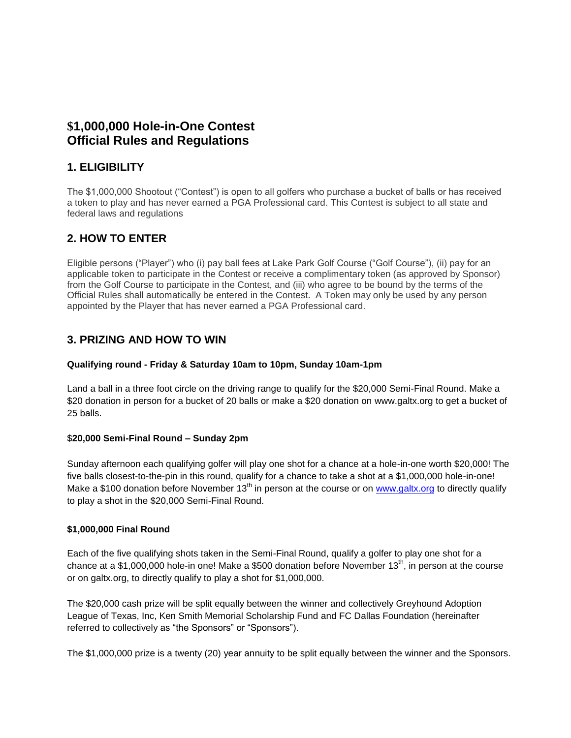# **\$1,000,000 Hole-in-One Contest Official Rules and Regulations**

### **1. ELIGIBILITY**

The \$1,000,000 Shootout ("Contest") is open to all golfers who purchase a bucket of balls or has received a token to play and has never earned a PGA Professional card. This Contest is subject to all state and federal laws and regulations

# **2. HOW TO ENTER**

Eligible persons ("Player") who (i) pay ball fees at Lake Park Golf Course ("Golf Course"), (ii) pay for an applicable token to participate in the Contest or receive a complimentary token (as approved by Sponsor) from the Golf Course to participate in the Contest, and (iii) who agree to be bound by the terms of the Official Rules shall automatically be entered in the Contest. A Token may only be used by any person appointed by the Player that has never earned a PGA Professional card.

## **3. PRIZING AND HOW TO WIN**

#### **Qualifying round - Friday & Saturday 10am to 10pm, Sunday 10am-1pm**

Land a ball in a three foot circle on the driving range to qualify for the \$20,000 Semi-Final Round. Make a \$20 donation in person for a bucket of 20 balls or make a \$20 donation on www.galtx.org to get a bucket of 25 balls.

#### \$**20,000 Semi-Final Round – Sunday 2pm**

Sunday afternoon each qualifying golfer will play one shot for a chance at a hole-in-one worth \$20,000! The five balls closest-to-the-pin in this round, qualify for a chance to take a shot at a \$1,000,000 hole-in-one! Make a \$100 donation before November  $13<sup>th</sup>$  in person at the course or on [www.galtx.org](http://www.galtx.org/) to directly qualify to play a shot in the \$20,000 Semi-Final Round.

#### **\$1,000,000 Final Round**

Each of the five qualifying shots taken in the Semi-Final Round, qualify a golfer to play one shot for a chance at a \$1,000,000 hole-in one! Make a \$500 donation before November 13<sup>th</sup>, in person at the course or on galtx.org, to directly qualify to play a shot for \$1,000,000.

The \$20,000 cash prize will be split equally between the winner and collectively Greyhound Adoption League of Texas, Inc, Ken Smith Memorial Scholarship Fund and FC Dallas Foundation (hereinafter referred to collectively as "the Sponsors" or "Sponsors").

The \$1,000,000 prize is a twenty (20) year annuity to be split equally between the winner and the Sponsors.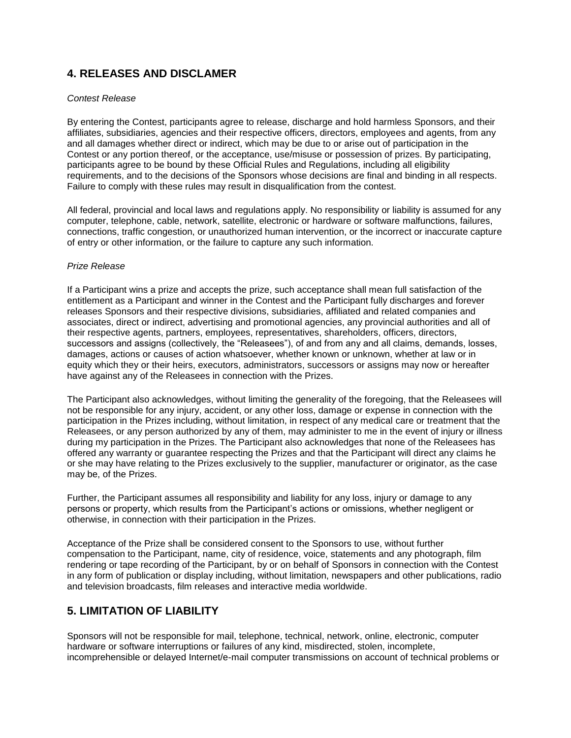## **4. RELEASES AND DISCLAMER**

#### *Contest Release*

By entering the Contest, participants agree to release, discharge and hold harmless Sponsors, and their affiliates, subsidiaries, agencies and their respective officers, directors, employees and agents, from any and all damages whether direct or indirect, which may be due to or arise out of participation in the Contest or any portion thereof, or the acceptance, use/misuse or possession of prizes. By participating, participants agree to be bound by these Official Rules and Regulations, including all eligibility requirements, and to the decisions of the Sponsors whose decisions are final and binding in all respects. Failure to comply with these rules may result in disqualification from the contest.

All federal, provincial and local laws and regulations apply. No responsibility or liability is assumed for any computer, telephone, cable, network, satellite, electronic or hardware or software malfunctions, failures, connections, traffic congestion, or unauthorized human intervention, or the incorrect or inaccurate capture of entry or other information, or the failure to capture any such information.

#### *Prize Release*

If a Participant wins a prize and accepts the prize, such acceptance shall mean full satisfaction of the entitlement as a Participant and winner in the Contest and the Participant fully discharges and forever releases Sponsors and their respective divisions, subsidiaries, affiliated and related companies and associates, direct or indirect, advertising and promotional agencies, any provincial authorities and all of their respective agents, partners, employees, representatives, shareholders, officers, directors, successors and assigns (collectively, the "Releasees"), of and from any and all claims, demands, losses, damages, actions or causes of action whatsoever, whether known or unknown, whether at law or in equity which they or their heirs, executors, administrators, successors or assigns may now or hereafter have against any of the Releasees in connection with the Prizes.

The Participant also acknowledges, without limiting the generality of the foregoing, that the Releasees will not be responsible for any injury, accident, or any other loss, damage or expense in connection with the participation in the Prizes including, without limitation, in respect of any medical care or treatment that the Releasees, or any person authorized by any of them, may administer to me in the event of injury or illness during my participation in the Prizes. The Participant also acknowledges that none of the Releasees has offered any warranty or guarantee respecting the Prizes and that the Participant will direct any claims he or she may have relating to the Prizes exclusively to the supplier, manufacturer or originator, as the case may be, of the Prizes.

Further, the Participant assumes all responsibility and liability for any loss, injury or damage to any persons or property, which results from the Participant's actions or omissions, whether negligent or otherwise, in connection with their participation in the Prizes.

Acceptance of the Prize shall be considered consent to the Sponsors to use, without further compensation to the Participant, name, city of residence, voice, statements and any photograph, film rendering or tape recording of the Participant, by or on behalf of Sponsors in connection with the Contest in any form of publication or display including, without limitation, newspapers and other publications, radio and television broadcasts, film releases and interactive media worldwide.

## **5. LIMITATION OF LIABILITY**

Sponsors will not be responsible for mail, telephone, technical, network, online, electronic, computer hardware or software interruptions or failures of any kind, misdirected, stolen, incomplete, incomprehensible or delayed Internet/e-mail computer transmissions on account of technical problems or